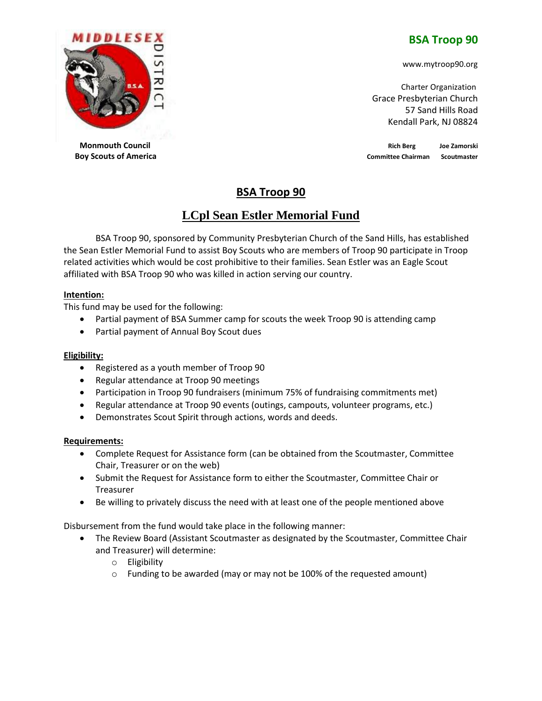## **BSA Troop 90**

www.mytroop90.org

 Charter Organization Grace Presbyterian Church 57 Sand Hills Road Kendall Park, NJ 08824

**Monmouth Council Council Rich Berg Joe Zamorski Rich Berg Joe Zamorski Rich Berg Joe Zamorski Boy Scouts of America Committee Chairman** Scoutmaster

# **BSA Troop 90**

# **LCpl Sean Estler Memorial Fund**

BSA Troop 90, sponsored by Community Presbyterian Church of the Sand Hills, has established the Sean Estler Memorial Fund to assist Boy Scouts who are members of Troop 90 participate in Troop related activities which would be cost prohibitive to their families. Sean Estler was an Eagle Scout affiliated with BSA Troop 90 who was killed in action serving our country.

## **Intention:**

This fund may be used for the following:

- Partial payment of BSA Summer camp for scouts the week Troop 90 is attending camp
- Partial payment of Annual Boy Scout dues

#### **Eligibility:**

- Registered as a youth member of Troop 90
- Regular attendance at Troop 90 meetings
- Participation in Troop 90 fundraisers (minimum 75% of fundraising commitments met)
- Regular attendance at Troop 90 events (outings, campouts, volunteer programs, etc.)
- Demonstrates Scout Spirit through actions, words and deeds.

#### **Requirements:**

- Complete Request for Assistance form (can be obtained from the Scoutmaster, Committee Chair, Treasurer or on the web)
- Submit the Request for Assistance form to either the Scoutmaster, Committee Chair or Treasurer
- Be willing to privately discuss the need with at least one of the people mentioned above

Disbursement from the fund would take place in the following manner:

- The Review Board (Assistant Scoutmaster as designated by the Scoutmaster, Committee Chair and Treasurer) will determine:
	- o Eligibility
	- o Funding to be awarded (may or may not be 100% of the requested amount)